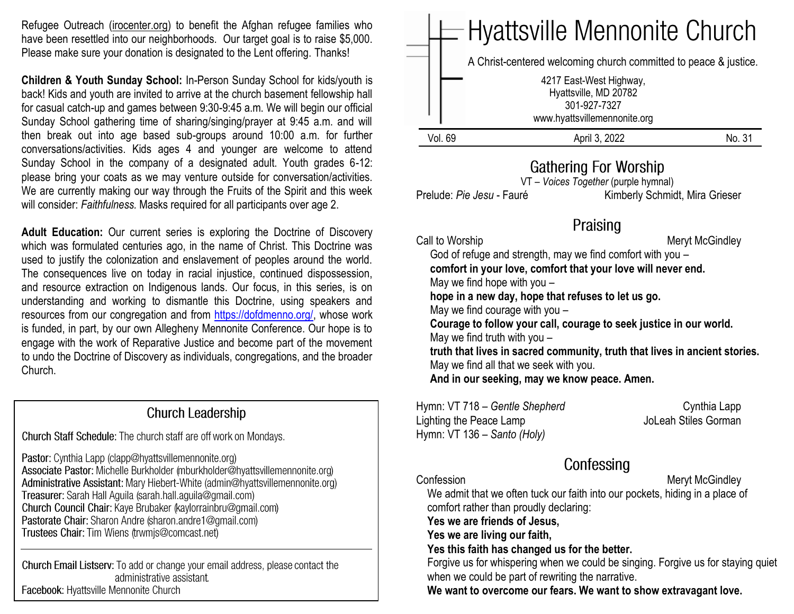Refugee Outreach [\(irocenter.org\)](http://irocenter.org/) to benefit the Afghan refugee families who have been resettled into our neighborhoods. Our target goal is to raise \$5,000. Please make sure your donation is designated to the Lent offering. Thanks!

**Children & Youth Sunday School:** In-Person Sunday School for kids/youth is back! Kids and youth are invited to arrive at the church basement fellowship hall for casual catch-up and games between 9:30-9:45 a.m. We will begin our official Sunday School gathering time of sharing/singing/prayer at 9:45 a.m. and will then break out into age based sub-groups around 10:00 a.m. for further conversations/activities. Kids ages 4 and younger are welcome to attend Sunday School in the company of a designated adult. Youth grades 6-12: please bring your coats as we may venture outside for conversation/activities. We are currently making our way through the Fruits of the Spirit and this week will consider: *Faithfulness.* Masks required for all participants over age 2.

**Adult Education:** Our current series is exploring the Doctrine of Discovery which was formulated centuries ago, in the name of Christ. This Doctrine was used to justify the colonization and enslavement of peoples around the world. The consequences live on today in racial injustice, continued dispossession, and resource extraction on Indigenous lands. Our focus, in this series, is on understanding and working to dismantle this Doctrine, using speakers and resources from our congregation and from [https://dofdmenno.org/,](https://dofdmenno.org/) whose work is funded, in part, by our own Allegheny Mennonite Conference. Our hope is to engage with the work of Reparative Justice and become part of the movement to undo the Doctrine of Discovery as individuals, congregations, and the broader Church.

### **Church Leadership**

Church Staff Schedule: The church staff are off work on Mondays.

Pastor: Cynthia Lapp (clapp@hyattsvillemennonite.org) Associate Pastor: Michelle Burkholder (mburkholder@hyattsvillemennonite.org) Administrative Assistant: Mary Hiebert-White (admin@hyattsvillemennonite.org) Treasurer: Sarah Hall Aguila (sarah.hall.aguila@gmail.com) Church Council Chair: Kaye Brubaker (kaylorrainbru@gmail.com) Pastorate Chair: Sharon Andre (sharon.andre1@gmail.com) Trustees Chair: Tim Wiens (trwmjs@comcast.net)

Church Email Listserv: To add or change your email address, please contact the administrative assistant. Facebook: Hyattsville Mennonite Church



## **Gathering For Worship**

VT – *Voices Together* (purple hymnal) Prelude: *Pie Jesu - Fauré* Kimberly Schmidt, Mira Grieser

## Praising

Call to Worship **Meryt McGindley** Meryt McGindley

God of refuge and strength, may we find comfort with you –

 **comfort in your love, comfort that your love will never end.**

May we find hope with you –

 **hope in a new day, hope that refuses to let us go.**

May we find courage with you –

 **Courage to follow your call, courage to seek justice in our world.** May we find truth with you –

 **truth that lives in sacred community, truth that lives in ancient stories.** May we find all that we seek with you.

 **And in our seeking, may we know peace. Amen.**

Hymn: VT 718 – Gentle Shepherd Cynthia Lapp Lighting the Peace Lamp JoLeah Stiles Gorman Hymn: VT 136 – *Santo (Holy)*

# Confessing

Confession **Meryt McGindley** 

 We admit that we often tuck our faith into our pockets, hiding in a place of comfort rather than proudly declaring:  **Yes we are friends of Jesus, Yes we are living our faith, Yes this faith has changed us for the better.** 

Forgive us for whispering when we could be singing. Forgive us for staying quiet when we could be part of rewriting the narrative.

 **We want to overcome our fears. We want to show extravagant love.**